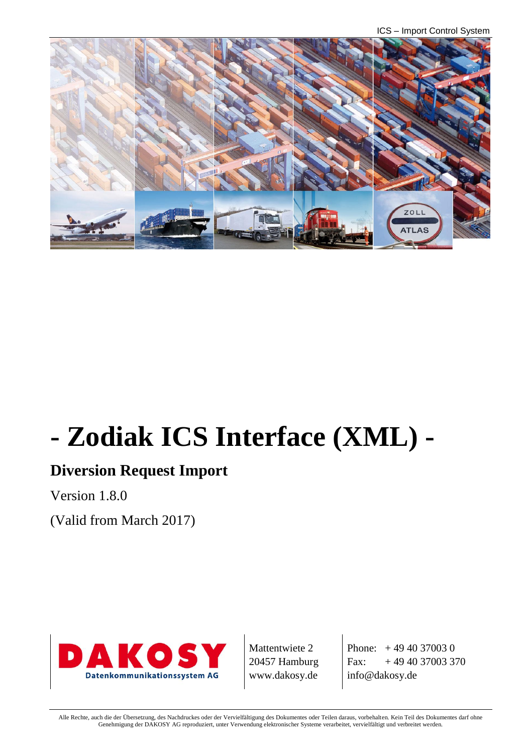ICS – Import Control System



# **- Zodiak ICS Interface (XML) -**

# **Diversion Request Import**

Version 1.8.0

(Valid from March 2017)



Mattentwiete 2 20457 Hamburg www.dakosy.de

Phone: + 49 40 37003 0 Fax:  $+494037003370$ info@dakosy.de

Alle Rechte, auch die der Übersetzung, des Nachdruckes oder der Vervielfältigung des Dokumentes oder Teilen daraus, vorbehalten. Kein Teil des Dokumentes darf ohne Genehmigung der DAKOSY AG reproduziert, unter Verwendung elektronischer Systeme verarbeitet, vervielfältigt und verbreitet werden.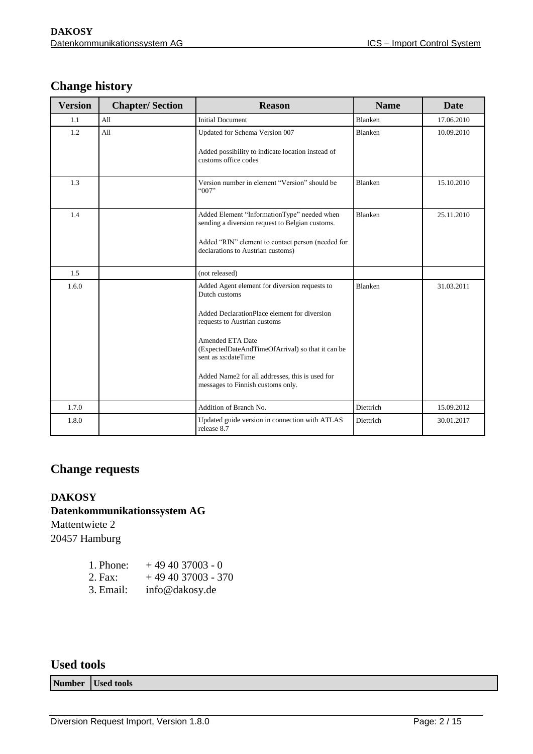### **Change history**

| <b>Version</b> | <b>Chapter/Section</b> | <b>Name</b><br><b>Reason</b>                                                                       |                | Date       |  |
|----------------|------------------------|----------------------------------------------------------------------------------------------------|----------------|------------|--|
| 1.1            | A11                    | <b>Initial Document</b>                                                                            | <b>Blanken</b> | 17.06.2010 |  |
| 1.2            | All                    | Updated for Schema Version 007                                                                     | <b>Blanken</b> | 10.09.2010 |  |
|                |                        | Added possibility to indicate location instead of<br>customs office codes                          |                |            |  |
| 1.3            |                        | Version number in element "Version" should be<br>"007"                                             | <b>Blanken</b> | 15.10.2010 |  |
| 1.4            |                        | Added Element "InformationType" needed when<br>sending a diversion request to Belgian customs.     | <b>Blanken</b> | 25.11.2010 |  |
|                |                        | Added "RIN" element to contact person (needed for<br>declarations to Austrian customs)             |                |            |  |
| 1.5            |                        | (not released)                                                                                     |                |            |  |
| 1.6.0          |                        | Added Agent element for diversion requests to<br>Dutch customs                                     | <b>Blanken</b> | 31.03.2011 |  |
|                |                        | Added DeclarationPlace element for diversion<br>requests to Austrian customs                       |                |            |  |
|                |                        | <b>Amended ETA Date</b><br>(ExpectedDateAndTimeOfArrival) so that it can be<br>sent as xs:dateTime |                |            |  |
|                |                        | Added Name2 for all addresses, this is used for<br>messages to Finnish customs only.               |                |            |  |
| 1.7.0          |                        | Addition of Branch No.                                                                             | Diettrich      | 15.09.2012 |  |
| 1.8.0          |                        | Updated guide version in connection with ATLAS<br>release 8.7                                      | Diettrich      | 30.01.2017 |  |

#### **Change requests**

#### **DAKOSY**

#### **Datenkommunikationssystem AG**

Mattentwiete 2 20457 Hamburg

| 1. Phone: | $+494037003 - 0$   |
|-----------|--------------------|
| 2. Fax:   | $+494037003 - 370$ |
| 3. Email: | info@dakosy.de     |

#### **Used tools**

**Number Used tools**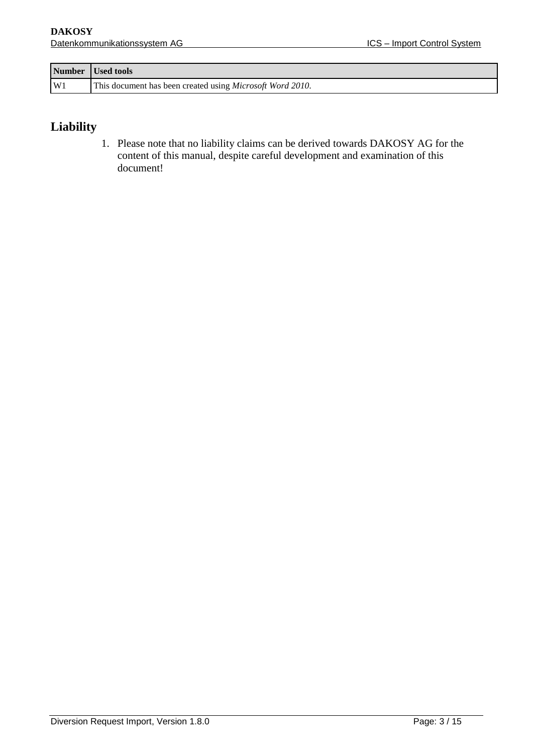|    | Number Used tools                                                 |
|----|-------------------------------------------------------------------|
| W1 | This document has been created using <i>Microsoft Word 2010</i> . |

#### **Liability**

1. Please note that no liability claims can be derived towards DAKOSY AG for the content of this manual, despite careful development and examination of this document!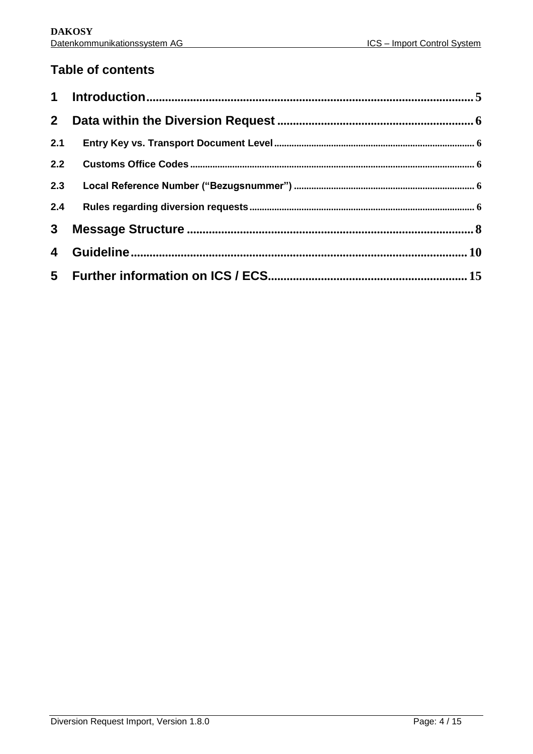#### **Table of contents**

| 2 <sup>1</sup>          |  |
|-------------------------|--|
| 2.1                     |  |
| 2.2                     |  |
| 2.3                     |  |
| 2.4                     |  |
| 3 <sup>1</sup>          |  |
| $\overline{\mathbf{4}}$ |  |
|                         |  |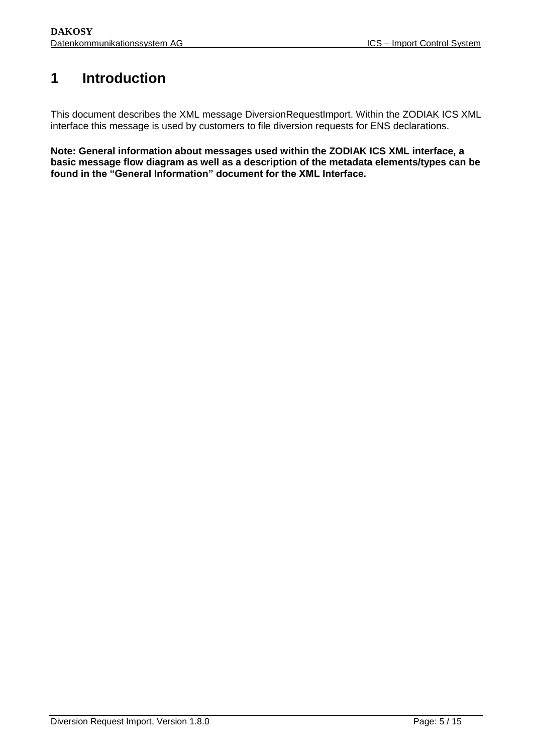# <span id="page-4-0"></span>**1 Introduction**

This document describes the XML message DiversionRequestImport. Within the ZODIAK ICS XML interface this message is used by customers to file diversion requests for ENS declarations.

**Note: General information about messages used within the ZODIAK ICS XML interface, a basic message flow diagram as well as a description of the metadata elements/types can be found in the "General Information" document for the XML Interface.**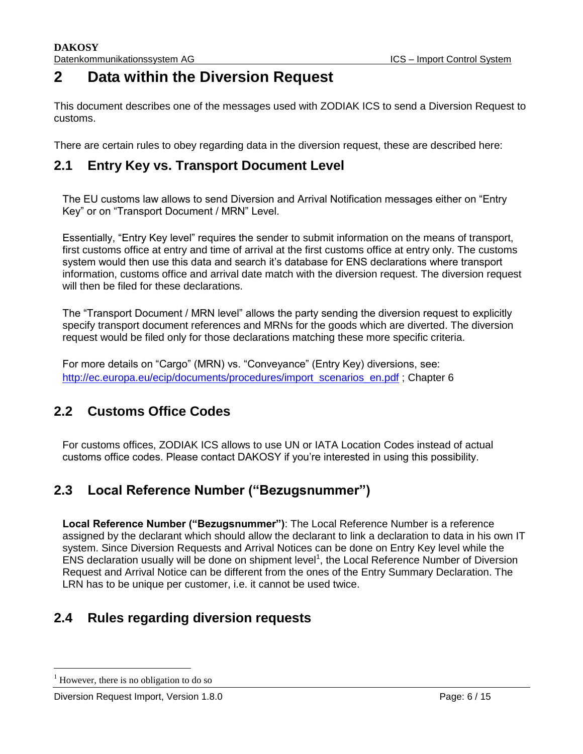### **2 Data within the Diversion Request**

<span id="page-5-0"></span>This document describes one of the messages used with ZODIAK ICS to send a Diversion Request to customs.

There are certain rules to obey regarding data in the diversion request, these are described here:

#### **2.1 Entry Key vs. Transport Document Level**

<span id="page-5-1"></span>The EU customs law allows to send Diversion and Arrival Notification messages either on "Entry Key" or on "Transport Document / MRN" Level.

Essentially, "Entry Key level" requires the sender to submit information on the means of transport, first customs office at entry and time of arrival at the first customs office at entry only. The customs system would then use this data and search it's database for ENS declarations where transport information, customs office and arrival date match with the diversion request. The diversion request will then be filed for these declarations.

The "Transport Document / MRN level" allows the party sending the diversion request to explicitly specify transport document references and MRNs for the goods which are diverted. The diversion request would be filed only for those declarations matching these more specific criteria.

For more details on "Cargo" (MRN) vs. "Conveyance" (Entry Key) diversions, see: [http://ec.europa.eu/ecip/documents/procedures/import\\_scenarios\\_en.pdf](http://ec.europa.eu/ecip/documents/procedures/import_scenarios_en.pdf) ; Chapter 6

#### **2.2 Customs Office Codes**

<span id="page-5-2"></span>For customs offices, ZODIAK ICS allows to use UN or IATA Location Codes instead of actual customs office codes. Please contact DAKOSY if you're interested in using this possibility.

#### **2.3 Local Reference Number ("Bezugsnummer")**

<span id="page-5-3"></span>**Local Reference Number ("Bezugsnummer")**: The Local Reference Number is a reference assigned by the declarant which should allow the declarant to link a declaration to data in his own IT system. Since Diversion Requests and Arrival Notices can be done on Entry Key level while the ENS declaration usually will be done on shipment level<sup>1</sup>, the Local Reference Number of Diversion Request and Arrival Notice can be different from the ones of the Entry Summary Declaration. The LRN has to be unique per customer, i.e. it cannot be used twice.

#### **2.4 Rules regarding diversion requests**

<span id="page-5-4"></span>l

However, there is no obligation to do so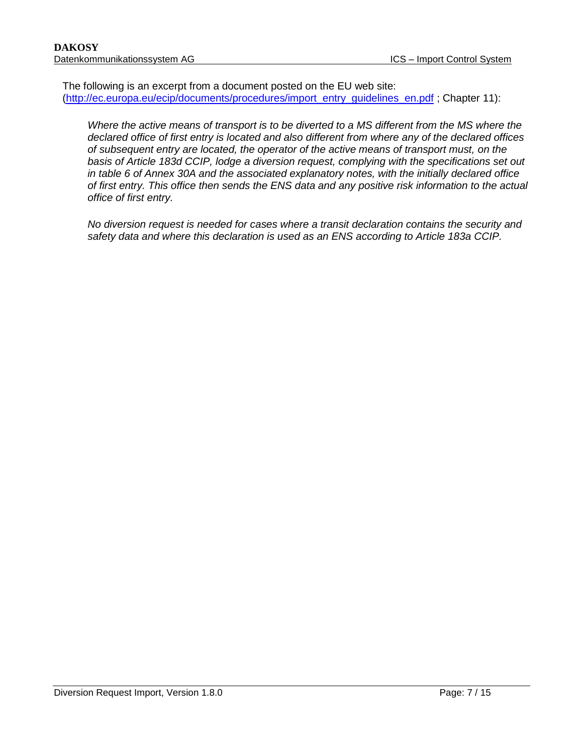The following is an excerpt from a document posted on the EU web site: [\(http://ec.europa.eu/ecip/documents/procedures/import\\_entry\\_guidelines\\_en.pdf](http://ec.europa.eu/ecip/documents/procedures/import_entry_guidelines_en.pdf) ; Chapter 11):

*Where the active means of transport is to be diverted to a MS different from the MS where the declared office of first entry is located and also different from where any of the declared offices of subsequent entry are located, the operator of the active means of transport must, on the basis of Article 183d CCIP, lodge a diversion request, complying with the specifications set out in table 6 of Annex 30A and the associated explanatory notes, with the initially declared office of first entry. This office then sends the ENS data and any positive risk information to the actual office of first entry.*

*No diversion request is needed for cases where a transit declaration contains the security and safety data and where this declaration is used as an ENS according to Article 183a CCIP.*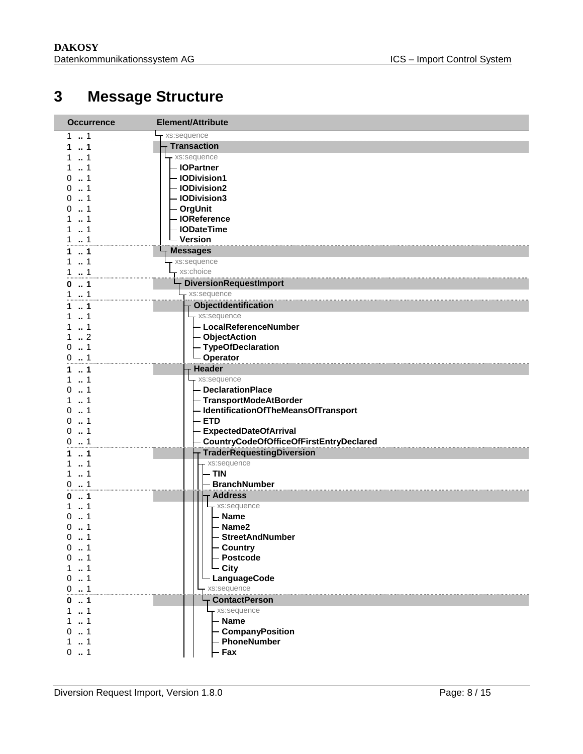# **Message Structure**

<span id="page-7-0"></span>

| <b>Occurrence</b>        | <b>Element/Attribute</b>                |
|--------------------------|-----------------------------------------|
| 11                       | xs:sequence                             |
| $\dots$ 1<br>1.          | <b>Transaction</b>                      |
| . . 1<br>1               | xs:sequence                             |
| 1                        | - IOPartner                             |
| $\dots$ 1<br>0           | - IODivision1                           |
| 1<br>0                   | - IODivision2                           |
| $\dots$ 1<br>0           | - IODivision3                           |
| $\dots$ 1<br>0           | - OrgUnit                               |
| 1<br>$\ldots$ 1<br>1     | - IOReference<br>- IODateTime           |
| 1<br>1                   | – Version                               |
|                          | <b>Messages</b>                         |
| $\ldots$ 1<br>1<br>1     | xs:sequence                             |
| 1<br>1                   | xs:choice                               |
| $\dots$ 1                | <b>DiversionRequestImport</b>           |
| 0<br>$\ldots$ 1<br>1     | xs:sequence                             |
|                          | <b>ObjectIdentification</b>             |
| 1<br>1<br>1              | - xs:sequence                           |
| $\ldots$ 1<br>1          | - LocalReferenceNumber                  |
| $\cdot$ 2<br>1           | - ObjectAction                          |
| $\dots$ 1<br>0           | - TypeOfDeclaration                     |
| 1<br>0                   | - Operator                              |
| $\ldots$ 1<br>1          | <b>Header</b>                           |
| 1<br>1                   | xs:sequence                             |
| $\dots$ 1<br>0           | - DeclarationPlace                      |
| $\dots$ 1<br>1           | - TransportModeAtBorder                 |
| 1<br>0                   | - IdentificationOfTheMeansOfTransport   |
| 1<br>0                   | <b>ETD</b>                              |
| 0<br>1                   | <b>ExpectedDateOfArrival</b>            |
| 01                       | CountryCodeOfOfficeOfFirstEntryDeclared |
| $\ldots$ 1<br>1          | <b>TraderRequestingDiversion</b>        |
| $\ldots$ 1<br>1          | xs:sequence                             |
| 1<br>1                   | - TIN                                   |
| 1<br>0                   | <b>BranchNumber</b>                     |
| $\dots$ 1<br>0           | <b>Address</b>                          |
| 1                        | xs:sequence                             |
| 1<br>0<br>1              | - Name<br>Name <sub>2</sub>             |
| 0<br>1<br>0              | <b>StreetAndNumber</b>                  |
| 0                        | - Country                               |
| 0<br>$\dots$ 1           | Postcode                                |
| 1<br>1                   | - City                                  |
| 0.1                      | LanguageCode                            |
| 0.1                      | xs:sequence                             |
| $\dots$ 1<br>0           | <b>ContactPerson</b>                    |
| $\dots$ 1<br>$\mathbf 1$ | xs:sequence                             |
| 1                        | - Name                                  |
| 0<br>$\ldots$ 1          | <b>CompanyPosition</b>                  |
| 11                       | - PhoneNumber                           |
| 0.1                      | - Fax                                   |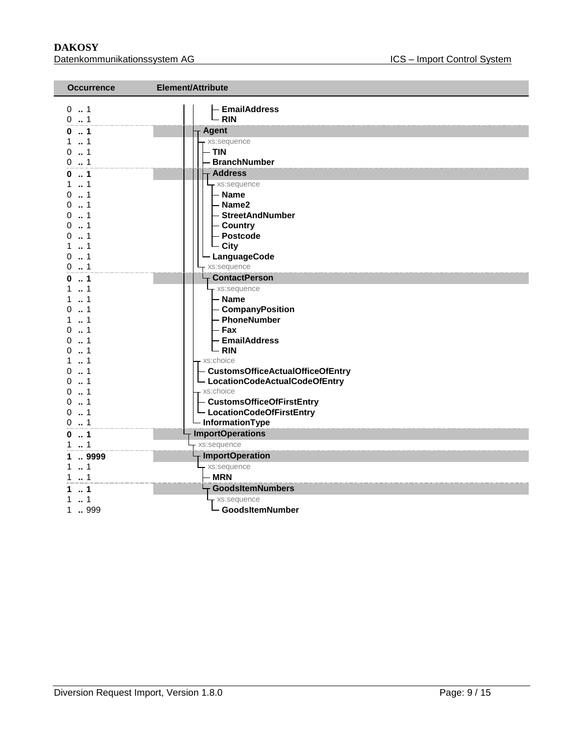**DAKOSY**<br>Datenkommunikationssystem AG <br>Datenkommunikationssystem AG <br>Datenkommunikationssystem AG <br>Datenkommunikationssystem AG <br>Datenkommunikationssystem AG <br>Datenkommunikationssystem AG <br>Datenkommunikationssystem AG <br>Dat Datenkommunikationssystem AG

| <b>Occurrence</b>                                                                                                                                                                       | Element/Attribute                                                                                                                                                                                                                                                                           |
|-----------------------------------------------------------------------------------------------------------------------------------------------------------------------------------------|---------------------------------------------------------------------------------------------------------------------------------------------------------------------------------------------------------------------------------------------------------------------------------------------|
| $0 \t  1$<br>0.1                                                                                                                                                                        | <b>EmailAddress</b><br>- RIN                                                                                                                                                                                                                                                                |
| 0.1                                                                                                                                                                                     | <b>Agent</b>                                                                                                                                                                                                                                                                                |
| 11<br>0.1<br>0.1                                                                                                                                                                        | xs:sequence<br>- TIN<br>- BranchNumber                                                                                                                                                                                                                                                      |
| 01                                                                                                                                                                                      | <b>Address</b>                                                                                                                                                                                                                                                                              |
| $1 \t  1$<br>01<br>$0 \dots 1$<br>01<br>. 1<br>0<br>$\dots$ 1<br>0<br>11<br>0.1<br>0.1                                                                                                  | - xs:sequence<br>- Name<br>- Name2<br>- StreetAndNumber<br>- Country<br>- Postcode<br>- City<br>LanguageCode<br>xs:sequence                                                                                                                                                                 |
| 0.1                                                                                                                                                                                     | <b>ContactPerson</b>                                                                                                                                                                                                                                                                        |
| $1 \t{.} 1$<br>$\dots$ 1<br>1<br>$\dots$ 1<br>0<br>11<br>$\dots$ 1<br>0<br>. 1<br>0<br>01<br>11<br>. 1<br>0<br>$\dots$ 1<br>0<br>. 1<br>0<br>$\ldots$ 1<br>$\Omega$<br>1<br>0<br>1<br>0 | - xs:sequence<br>— Name<br>- CompanyPosition<br>- PhoneNumber<br>- Fax<br><b>EmailAddress</b><br>- RIN<br>xs:choice<br>- CustomsOfficeActualOfficeOfEntry<br>- LocationCodeActualCodeOfEntry<br>xs:choice<br>- CustomsOfficeOfFirstEntry<br>L LocationCodeOfFirstEntry<br>- InformationType |
| $\dots 1$<br>0                                                                                                                                                                          | <b>ImportOperations</b>                                                                                                                                                                                                                                                                     |
| . . 1<br>1                                                                                                                                                                              | xs:sequence<br><b>ImportOperation</b>                                                                                                                                                                                                                                                       |
| 1  9999<br>11<br>1  1                                                                                                                                                                   | - xs:sequence<br>- MRN                                                                                                                                                                                                                                                                      |
| 11                                                                                                                                                                                      | GoodsItemNumbers                                                                                                                                                                                                                                                                            |
| $\ldots$ 1<br>1  999                                                                                                                                                                    | xs:sequence<br>- GoodsItemNumber                                                                                                                                                                                                                                                            |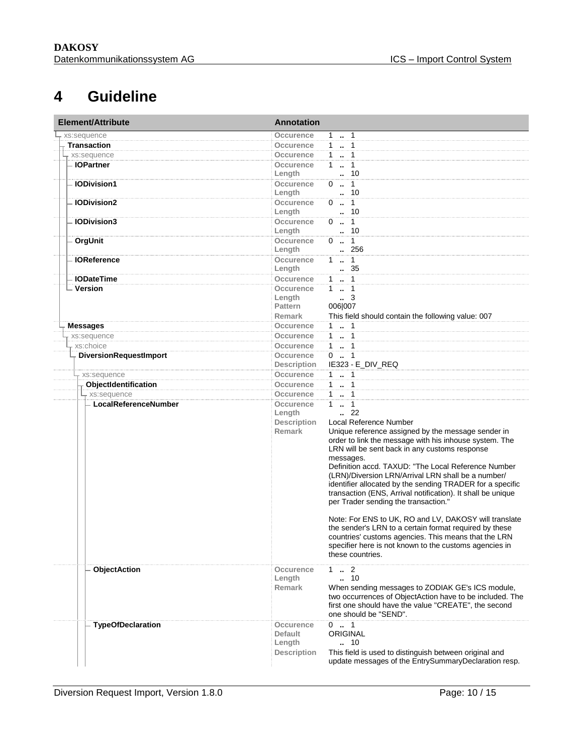# **4 Guideline**

<span id="page-9-0"></span>

| <b>Element/Attribute</b>              | <b>Annotation</b>                                      |                                                                                                                                                                                                                                                                                                                                                                                                                                                                                                                                                                                                                                                                                                                                                              |
|---------------------------------------|--------------------------------------------------------|--------------------------------------------------------------------------------------------------------------------------------------------------------------------------------------------------------------------------------------------------------------------------------------------------------------------------------------------------------------------------------------------------------------------------------------------------------------------------------------------------------------------------------------------------------------------------------------------------------------------------------------------------------------------------------------------------------------------------------------------------------------|
| xs:sequence                           | Occurence                                              | 1  1                                                                                                                                                                                                                                                                                                                                                                                                                                                                                                                                                                                                                                                                                                                                                         |
| <b>Transaction</b>                    | Occurence                                              | $1 - 1$                                                                                                                                                                                                                                                                                                                                                                                                                                                                                                                                                                                                                                                                                                                                                      |
| xs:sequence                           | Occurence                                              | $1 \t  \t 1$                                                                                                                                                                                                                                                                                                                                                                                                                                                                                                                                                                                                                                                                                                                                                 |
| - IOPartner                           | Occurence<br>Length                                    | $1 - 1$<br>. 10                                                                                                                                                                                                                                                                                                                                                                                                                                                                                                                                                                                                                                                                                                                                              |
| <b>IODivision1</b>                    | <b>Occurence</b><br>Length                             | $0 \t . 1$<br>. 10                                                                                                                                                                                                                                                                                                                                                                                                                                                                                                                                                                                                                                                                                                                                           |
| <b>IODivision2</b>                    | Occurence<br>Length                                    | $0 \t  \t 1$<br>. 10                                                                                                                                                                                                                                                                                                                                                                                                                                                                                                                                                                                                                                                                                                                                         |
| <b>IODivision3</b>                    | Occurence<br>Length                                    | $0 \t . 1$<br>. 10                                                                                                                                                                                                                                                                                                                                                                                                                                                                                                                                                                                                                                                                                                                                           |
| OrgUnit                               | <b>Occurence</b><br>Length                             | $0 \t . 1$<br>256                                                                                                                                                                                                                                                                                                                                                                                                                                                                                                                                                                                                                                                                                                                                            |
| <b>IOReference</b>                    | Occurence<br>Length                                    | $1 \t  \t 1$<br>. 35                                                                                                                                                                                                                                                                                                                                                                                                                                                                                                                                                                                                                                                                                                                                         |
| <b>IODateTime</b>                     | <b>Occurence</b>                                       | $1 - 1$                                                                                                                                                                                                                                                                                                                                                                                                                                                                                                                                                                                                                                                                                                                                                      |
| <b>Version</b>                        | Occurence<br>Length<br><b>Pattern</b><br><b>Remark</b> | $1 - 1$<br>$\, - \, 3$<br>006 007<br>This field should contain the following value: 007                                                                                                                                                                                                                                                                                                                                                                                                                                                                                                                                                                                                                                                                      |
|                                       |                                                        | $1 \t  \t 1$                                                                                                                                                                                                                                                                                                                                                                                                                                                                                                                                                                                                                                                                                                                                                 |
| <b>Messages</b>                       | Occurence<br>Occurence                                 | $1 - 1$                                                                                                                                                                                                                                                                                                                                                                                                                                                                                                                                                                                                                                                                                                                                                      |
| xs:sequence<br>xs:choice              |                                                        |                                                                                                                                                                                                                                                                                                                                                                                                                                                                                                                                                                                                                                                                                                                                                              |
| <b>DiversionRequestImport</b>         | Occurence<br>Occurence                                 | $\begin{array}{c} 1 & 1 \end{array}$<br>$0 \t . 1$                                                                                                                                                                                                                                                                                                                                                                                                                                                                                                                                                                                                                                                                                                           |
|                                       | <b>Description</b><br>Occurence                        | IE323 - E_DIV_REQ                                                                                                                                                                                                                                                                                                                                                                                                                                                                                                                                                                                                                                                                                                                                            |
| xs:sequence                           |                                                        | 1  1<br>$1 \cdot 1$                                                                                                                                                                                                                                                                                                                                                                                                                                                                                                                                                                                                                                                                                                                                          |
| ObjectIdentification                  | Occurence                                              |                                                                                                                                                                                                                                                                                                                                                                                                                                                                                                                                                                                                                                                                                                                                                              |
| - xs:sequence<br>LocalReferenceNumber | Occurence<br>Occurence                                 | 1  1<br>$1 - 1$                                                                                                                                                                                                                                                                                                                                                                                                                                                                                                                                                                                                                                                                                                                                              |
|                                       | Length<br><b>Description</b><br><b>Remark</b>          | $\cdot$ 22<br>Local Reference Number<br>Unique reference assigned by the message sender in<br>order to link the message with his inhouse system. The<br>LRN will be sent back in any customs response<br>messages.<br>Definition accd. TAXUD: "The Local Reference Number<br>(LRN)/Diversion LRN/Arrival LRN shall be a number/<br>identifier allocated by the sending TRADER for a specific<br>transaction (ENS, Arrival notification). It shall be unique<br>per Trader sending the transaction."<br>Note: For ENS to UK, RO and LV, DAKOSY will translate<br>the sender's LRN to a certain format required by these<br>countries' customs agencies. This means that the LRN<br>specifier here is not known to the customs agencies in<br>these countries. |
| <b>ObjectAction</b>                   | Occurence<br>Length<br><b>Remark</b>                   | $1 \t  \t 2$<br>$\cdot$ 10<br>When sending messages to ZODIAK GE's ICS module,<br>two occurrences of ObjectAction have to be included. The<br>first one should have the value "CREATE", the second<br>one should be "SEND".                                                                                                                                                                                                                                                                                                                                                                                                                                                                                                                                  |
| <b>TypeOfDeclaration</b>              | Occurence<br>Default<br>Length                         | $0 \t  1$<br>ORIGINAL<br>10                                                                                                                                                                                                                                                                                                                                                                                                                                                                                                                                                                                                                                                                                                                                  |
|                                       | <b>Description</b>                                     | This field is used to distinguish between original and<br>update messages of the EntrySummaryDeclaration resp.                                                                                                                                                                                                                                                                                                                                                                                                                                                                                                                                                                                                                                               |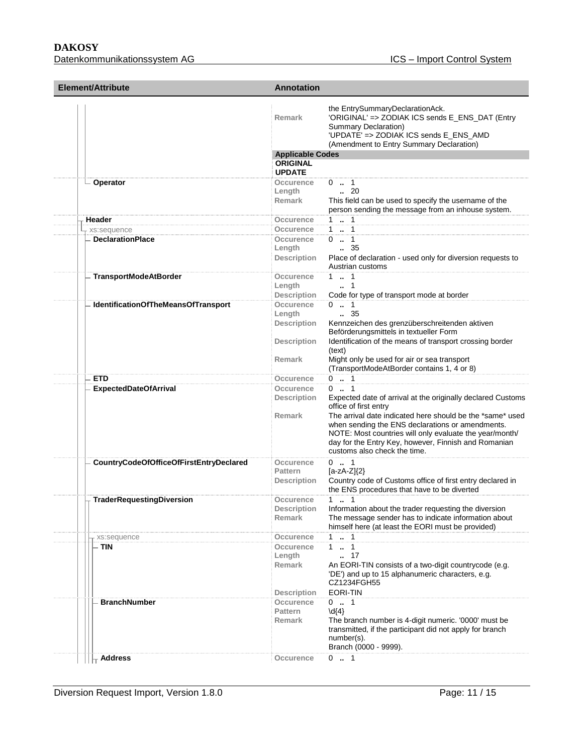**DAKOSY** 

| Element/Attribute                       | <b>Annotation</b>                                               |                                                                                                                                                                                                                                                                               |  |
|-----------------------------------------|-----------------------------------------------------------------|-------------------------------------------------------------------------------------------------------------------------------------------------------------------------------------------------------------------------------------------------------------------------------|--|
|                                         | Remark                                                          | the EntrySummaryDeclarationAck.<br>'ORIGINAL' => ZODIAK ICS sends E_ENS_DAT (Entry<br>Summary Declaration)<br>'UPDATE' => ZODIAK ICS sends E_ENS_AMD<br>(Amendment to Entry Summary Declaration)                                                                              |  |
|                                         | <b>Applicable Codes</b>                                         |                                                                                                                                                                                                                                                                               |  |
|                                         | <b>ORIGINAL</b>                                                 |                                                                                                                                                                                                                                                                               |  |
|                                         | <b>UPDATE</b>                                                   |                                                                                                                                                                                                                                                                               |  |
| Operator                                | Occurence<br>Length<br><b>Remark</b>                            | 0 . 1<br>$\cdot$ 20<br>This field can be used to specify the username of the<br>person sending the message from an inhouse system.                                                                                                                                            |  |
| Header                                  | Occurence                                                       | $1 \t  \t 1$                                                                                                                                                                                                                                                                  |  |
| xs:sequence                             | Occurence                                                       | $1 - 1$                                                                                                                                                                                                                                                                       |  |
| <b>DeclarationPlace</b>                 | Occurence<br>Length<br><b>Description</b>                       | $0 \t  1$<br>$\frac{35}{2}$<br>Place of declaration - used only for diversion requests to<br>Austrian customs                                                                                                                                                                 |  |
| <b>TransportModeAtBorder</b>            | Occurence<br>Length                                             | $1 \t  1$<br>$\cdot$ 1                                                                                                                                                                                                                                                        |  |
| IdentificationOfTheMeansOfTransport     | <b>Description</b><br>Occurence<br>Length<br><b>Description</b> | Code for type of transport mode at border<br>$0 \t  1$<br>. 35<br>Kennzeichen des grenzüberschreitenden aktiven                                                                                                                                                               |  |
|                                         | <b>Description</b>                                              | Beförderungsmittels in textueller Form<br>Identification of the means of transport crossing border<br>(text)                                                                                                                                                                  |  |
|                                         | <b>Remark</b>                                                   | Might only be used for air or sea transport<br>(TransportModeAtBorder contains 1, 4 or 8)                                                                                                                                                                                     |  |
| <b>ETD</b>                              | Occurence                                                       | $0 \t  1$                                                                                                                                                                                                                                                                     |  |
| <b>ExpectedDateOfArrival</b>            | Occurence<br><b>Description</b><br><b>Remark</b>                | $0 \t  1$<br>Expected date of arrival at the originally declared Customs<br>office of first entry<br>The arrival date indicated here should be the *same* used<br>when sending the ENS declarations or amendments.<br>NOTE: Most countries will only evaluate the year/month/ |  |
|                                         |                                                                 | day for the Entry Key, however, Finnish and Romanian<br>customs also check the time.                                                                                                                                                                                          |  |
| CountryCodeOfOfficeOfFirstEntryDeclared | Occurence<br><b>Pattern</b>                                     | $0 \t . 1$<br>$[a-zA-Z]\{2\}$                                                                                                                                                                                                                                                 |  |
|                                         | <b>Description</b>                                              | Country code of Customs office of first entry declared in<br>the ENS procedures that have to be diverted                                                                                                                                                                      |  |
| TraderRequestingDiversion               | Occurence<br>Description<br><b>Remark</b>                       | $1 \t  1$<br>Information about the trader requesting the diversion<br>The message sender has to indicate information about<br>himself here (at least the EORI must be provided)                                                                                               |  |
| xs:sequence                             | Occurence                                                       | $1 \t  1$                                                                                                                                                                                                                                                                     |  |
| TIN                                     | Occurence<br>Length<br>Remark                                   | 1 . 1<br>$\ldots$ 17<br>An EORI-TIN consists of a two-digit countrycode (e.g.<br>'DE') and up to 15 alphanumeric characters, e.g.                                                                                                                                             |  |
|                                         | <b>Description</b>                                              | CZ1234FGH55<br><b>EORI-TIN</b>                                                                                                                                                                                                                                                |  |
| <b>BranchNumber</b>                     | Occurence<br><b>Pattern</b><br>Remark                           | 01<br>$\{4\}$<br>The branch number is 4-digit numeric. '0000' must be<br>transmitted, if the participant did not apply for branch<br>number(s).<br>Branch (0000 - 9999).                                                                                                      |  |
| Address                                 | Occurence                                                       | $0 \t  1$                                                                                                                                                                                                                                                                     |  |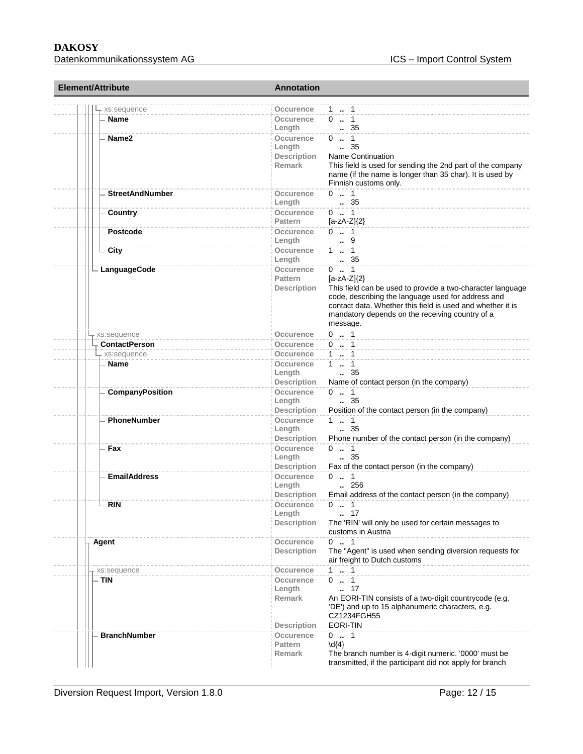| Element/Attribute<br>xs:sequence |                        | <b>Annotation</b>            |                                                                                   |  |  |
|----------------------------------|------------------------|------------------------------|-----------------------------------------------------------------------------------|--|--|
|                                  |                        | Occurence                    | 1 . 1                                                                             |  |  |
| Name                             |                        | Occurence                    | 01                                                                                |  |  |
|                                  |                        | Length                       | 35                                                                                |  |  |
| Name <sub>2</sub>                |                        | Occurence                    | $0 \t  1$                                                                         |  |  |
|                                  |                        | Length                       | $\frac{1}{2}$ 35                                                                  |  |  |
|                                  |                        | <b>Description</b>           | <b>Name Continuation</b>                                                          |  |  |
|                                  |                        | Remark                       | This field is used for sending the 2nd part of the company                        |  |  |
|                                  |                        |                              | name (if the name is longer than 35 char). It is used by<br>Finnish customs only. |  |  |
|                                  | <b>StreetAndNumber</b> | Occurence                    | $0 \t  1$                                                                         |  |  |
|                                  |                        | Length                       | . 35                                                                              |  |  |
| Country                          |                        | Occurence                    | $0 \t  1$                                                                         |  |  |
|                                  |                        | <b>Pattern</b>               | $[a-zA-Z](2)$                                                                     |  |  |
|                                  | <b>Postcode</b>        | Occurence                    | $0 \t . 1$                                                                        |  |  |
|                                  |                        | Length                       | 9                                                                                 |  |  |
| City                             |                        | Occurence<br>Length          | $1 \t  \t 1$<br>. 35                                                              |  |  |
|                                  | LanguageCode           | <b>Occurence</b>             | $0 \t  1$                                                                         |  |  |
|                                  |                        | <b>Pattern</b>               | $[a-zA-Z](2)$                                                                     |  |  |
|                                  |                        | <b>Description</b>           | This field can be used to provide a two-character language                        |  |  |
|                                  |                        |                              | code, describing the language used for address and                                |  |  |
|                                  |                        |                              | contact data. Whether this field is used and whether it is                        |  |  |
|                                  |                        |                              | mandatory depends on the receiving country of a                                   |  |  |
|                                  |                        |                              | message.                                                                          |  |  |
| xs:sequence                      |                        | Occurence                    | $0 \t . 1$                                                                        |  |  |
|                                  | <b>ContactPerson</b>   | Occurence                    | $0 \t  1$                                                                         |  |  |
|                                  | xs:sequence            | Occurence                    | $1 - 1$                                                                           |  |  |
| <b>Name</b>                      |                        | Occurence                    | $1 \t . 1$                                                                        |  |  |
|                                  |                        | Length<br><b>Description</b> | $\,-.35$                                                                          |  |  |
|                                  | <b>CompanyPosition</b> | Occurence                    | Name of contact person (in the company)<br>$0 \t  1$                              |  |  |
|                                  |                        | Length                       | 35                                                                                |  |  |
|                                  |                        | <b>Description</b>           | Position of the contact person (in the company)                                   |  |  |
|                                  | <b>PhoneNumber</b>     | Occurence                    | 11                                                                                |  |  |
|                                  |                        | Length                       | $\, 35$                                                                           |  |  |
|                                  |                        | <b>Description</b>           | Phone number of the contact person (in the company)                               |  |  |
| Fax                              |                        | Occurence                    | $0 \t  1$                                                                         |  |  |
|                                  |                        | Length                       | $\ldots$ 35                                                                       |  |  |
|                                  |                        | <b>Description</b>           | Fax of the contact person (in the company)                                        |  |  |
|                                  | <b>EmailAddress</b>    | Occurence                    | $0 \t  1$                                                                         |  |  |
|                                  |                        | Length<br><b>Description</b> | $\ldots$ 256<br>Email address of the contact person (in the company)              |  |  |
| <b>RIN</b>                       |                        | Occurence                    |                                                                                   |  |  |
|                                  |                        | Length                       | $0 \t  1$<br>. 17                                                                 |  |  |
|                                  |                        | <b>Description</b>           | The 'RIN' will only be used for certain messages to                               |  |  |
|                                  |                        |                              | customs in Austria                                                                |  |  |
| Agent                            |                        | Occurence                    | $0 \t  1$                                                                         |  |  |
|                                  |                        | <b>Description</b>           | The "Agent" is used when sending diversion requests for                           |  |  |
|                                  |                        |                              | air freight to Dutch customs                                                      |  |  |
| xs:sequence                      |                        | Occurence                    | 1  1                                                                              |  |  |
| - TIN                            |                        | Occurence                    | $0 \t1$                                                                           |  |  |
|                                  |                        | Length                       | 17                                                                                |  |  |
|                                  |                        | <b>Remark</b>                | An EORI-TIN consists of a two-digit countrycode (e.g.                             |  |  |
|                                  |                        |                              | 'DE') and up to 15 alphanumeric characters, e.g.<br>CZ1234FGH55                   |  |  |
|                                  |                        | <b>Description</b>           | <b>EORI-TIN</b>                                                                   |  |  |
|                                  | <b>BranchNumber</b>    | Occurence                    | $0 \t  1$                                                                         |  |  |
|                                  |                        | <b>Pattern</b>               | $\{4\}$                                                                           |  |  |
|                                  |                        | <b>Remark</b>                | The branch number is 4-digit numeric. '0000' must be                              |  |  |
|                                  |                        |                              | transmitted, if the participant did not apply for branch                          |  |  |
|                                  |                        |                              |                                                                                   |  |  |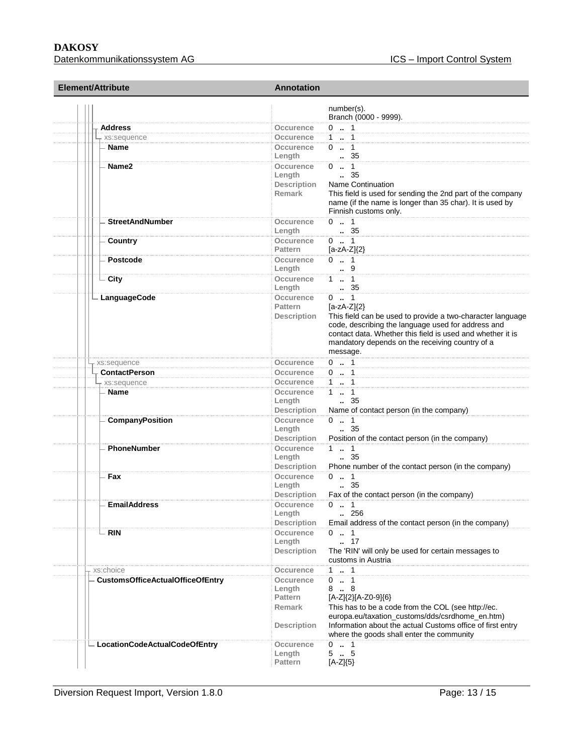| <b>Element/Attribute</b>                | <b>Annotation</b>                                                                |  |
|-----------------------------------------|----------------------------------------------------------------------------------|--|
|                                         | number(s).<br>Branch (0000 - 9999).                                              |  |
| <b>Address</b>                          | $0 \t  1$<br>Occurence                                                           |  |
| - xs:sequence                           | $1 \t  \t 1$<br>Occurence                                                        |  |
| Name                                    | $0 \t  1$<br>Occurence                                                           |  |
|                                         | . 35<br>Length                                                                   |  |
| Name <sub>2</sub>                       | $0 \t  1$<br>Occurence                                                           |  |
|                                         | $\frac{1}{2}$ 35<br>Length                                                       |  |
|                                         | <b>Name Continuation</b><br><b>Description</b>                                   |  |
|                                         | Remark<br>This field is used for sending the 2nd part of the company             |  |
|                                         | name (if the name is longer than 35 char). It is used by                         |  |
|                                         | Finnish customs only.                                                            |  |
| <b>StreetAndNumber</b>                  | $0 \t  1$<br>Occurence                                                           |  |
|                                         | $\, 35$<br>Length                                                                |  |
| Country                                 | $0 \t  1$<br><b>Occurence</b>                                                    |  |
|                                         | <b>Pattern</b><br>$[a-zA-Z]\{2\}$                                                |  |
| Postcode                                | $0 \t  1$<br>Occurence                                                           |  |
|                                         | 9<br>Length                                                                      |  |
| <b>City</b>                             | $1 \t  \t 1$<br>Occurence                                                        |  |
|                                         | $\, 35$<br>Length                                                                |  |
| LanguageCode                            | $0 \t  1$<br>Occurence<br><b>Pattern</b><br>$[a-zA-Z]$ $\{2\}$                   |  |
|                                         | This field can be used to provide a two-character language<br><b>Description</b> |  |
|                                         | code, describing the language used for address and                               |  |
|                                         | contact data. Whether this field is used and whether it is                       |  |
|                                         | mandatory depends on the receiving country of a                                  |  |
|                                         | message.                                                                         |  |
| xs:sequence                             | $0 \t  1$<br>Occurence                                                           |  |
| <b>ContactPerson</b>                    | $0 \t . 1$<br>Occurence                                                          |  |
| xs:sequence                             | $1 - 1$<br>Occurence                                                             |  |
| Name                                    | 1  1<br>Occurence                                                                |  |
|                                         | $\frac{1}{2}$ 35<br>Length                                                       |  |
|                                         | <b>Description</b><br>Name of contact person (in the company)                    |  |
| CompanyPosition                         | Occurence<br>$0 \t  1$                                                           |  |
|                                         | $\, 35$<br>Length                                                                |  |
|                                         | <b>Description</b><br>Position of the contact person (in the company)            |  |
| PhoneNumber                             | $1 - 1$<br>Occurence                                                             |  |
|                                         | $\frac{1}{2}$ 35<br>Length                                                       |  |
|                                         | Phone number of the contact person (in the company)<br><b>Description</b>        |  |
| Fax                                     | Occurence<br>$0 \t  1$<br>. 35                                                   |  |
|                                         | Length<br><b>Description</b><br>Fax of the contact person (in the company)       |  |
| <b>EmailAddress</b>                     | $0 \t  1$<br><b>Occurence</b>                                                    |  |
|                                         | Length<br>256                                                                    |  |
|                                         | <b>Description</b><br>Email address of the contact person (in the company)       |  |
| – RIN                                   | $0 \t  1$<br>Occurence                                                           |  |
|                                         | . 17<br>Length                                                                   |  |
|                                         | The 'RIN' will only be used for certain messages to<br><b>Description</b>        |  |
|                                         | customs in Austria                                                               |  |
| xs:choice                               | $1 - 1$<br>Occurence                                                             |  |
| <b>CustomsOfficeActualOfficeOfEntry</b> | $0 \t  1$<br>Occurence                                                           |  |
|                                         | 8.8<br>Length                                                                    |  |
|                                         | [A-Z]{2}[A-Z0-9]{6}<br><b>Pattern</b>                                            |  |
|                                         | <b>Remark</b><br>This has to be a code from the COL (see http://ec.              |  |
|                                         | europa.eu/taxation_customs/dds/csrdhome_en.htm)                                  |  |
|                                         | Information about the actual Customs office of first entry<br><b>Description</b> |  |
|                                         | where the goods shall enter the community                                        |  |
| LocationCodeActualCodeOfEntry           | $0 \t  1$<br>Occurence                                                           |  |
|                                         | 55<br>Length                                                                     |  |
|                                         | $[A-Z]\{5\}$<br><b>Pattern</b>                                                   |  |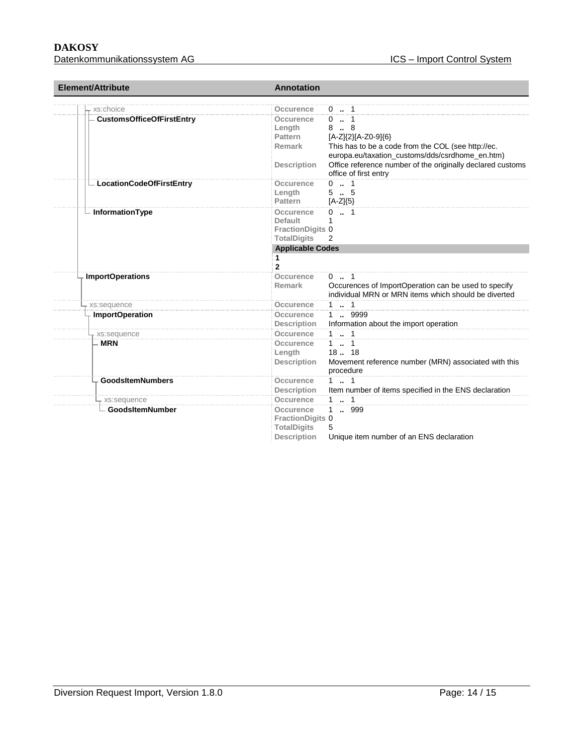# **DAKOSY**

| <b>Element/Attribute</b>         | <b>Annotation</b>            |                                                                                     |
|----------------------------------|------------------------------|-------------------------------------------------------------------------------------|
| xs:choice                        | Occurence                    | $0 \t  1$                                                                           |
| <b>CustomsOfficeOfFirstEntry</b> | <b>Occurence</b>             | $0 \t . 1$                                                                          |
|                                  | Length                       | 88                                                                                  |
|                                  | <b>Pattern</b>               | [A-Z]{2}[A-Z0-9]{6}                                                                 |
|                                  | Remark                       | This has to be a code from the COL (see http://ec.                                  |
|                                  |                              | europa.eu/taxation_customs/dds/csrdhome_en.htm)                                     |
|                                  | <b>Description</b>           | Office reference number of the originally declared customs<br>office of first entry |
| LocationCodeOfFirstEntry         | Occurence                    | $0 \t  1$                                                                           |
|                                  | Length                       | 55                                                                                  |
|                                  | <b>Pattern</b>               | $[A-Z]\{5\}$                                                                        |
| - InformationType                | Occurence                    | $0 \dots 1$                                                                         |
|                                  | Default                      |                                                                                     |
|                                  | <b>FractionDigits 0</b>      |                                                                                     |
|                                  | <b>TotalDigits</b>           | 2                                                                                   |
|                                  | <b>Applicable Codes</b><br>1 |                                                                                     |
|                                  | $\mathbf{2}$                 |                                                                                     |
| <b>ImportOperations</b>          | <b>Occurence</b>             | $0 \dots 1$                                                                         |
|                                  | Remark                       | Occurences of ImportOperation can be used to specify                                |
|                                  |                              | individual MRN or MRN items which should be diverted                                |
| xs:sequence                      | Occurence                    | 11                                                                                  |
| <b>ImportOperation</b>           | <b>Occurence</b>             | 1 . 9999                                                                            |
|                                  | <b>Description</b>           | Information about the import operation                                              |
| xs:sequence                      | Occurence                    | 11                                                                                  |
| <b>MRN</b>                       | Occurence                    | $1 \t  1$<br>$18-.18$                                                               |
|                                  | Length<br><b>Description</b> |                                                                                     |
|                                  |                              | Movement reference number (MRN) associated with this<br>procedure                   |
| <b>GoodsItemNumbers</b>          | Occurence                    | $1 \t  1$                                                                           |
|                                  | <b>Description</b>           | Item number of items specified in the ENS declaration                               |
| xs:sequence                      | Occurence                    | $1 \t  \t 1$                                                                        |
| <b>GoodsItemNumber</b>           | Occurence                    | 999<br>1.                                                                           |
|                                  | <b>FractionDigits 0</b>      |                                                                                     |
|                                  | <b>TotalDigits</b>           | 5                                                                                   |
|                                  | <b>Description</b>           | Unique item number of an ENS declaration                                            |